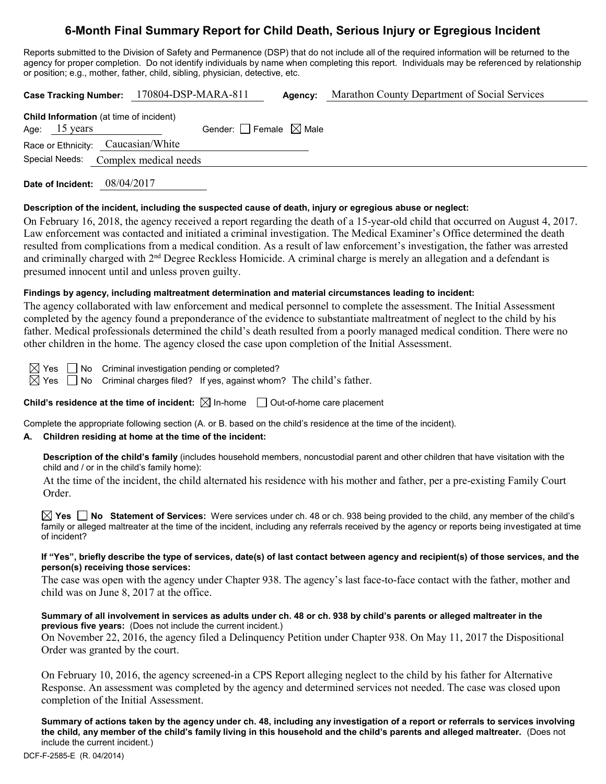# **6-Month Final Summary Report for Child Death, Serious Injury or Egregious Incident**

Reports submitted to the Division of Safety and Permanence (DSP) that do not include all of the required information will be returned to the agency for proper completion. Do not identify individuals by name when completing this report. Individuals may be referenced by relationship or position; e.g., mother, father, child, sibling, physician, detective, etc.

**Case Tracking Number:** 170804-DSP-MARA-811 **Agency:** Marathon County Department of Social Services

| <b>Child Information</b> (at time of incident) |                         |                                      |                                       |  |  |  |  |  |
|------------------------------------------------|-------------------------|--------------------------------------|---------------------------------------|--|--|--|--|--|
|                                                | Age: $15 \text{ years}$ |                                      | Gender: $ $   Female $\boxtimes$ Male |  |  |  |  |  |
|                                                |                         | Race or Ethnicity: Caucasian/White   |                                       |  |  |  |  |  |
|                                                |                         | Special Needs: Complex medical needs |                                       |  |  |  |  |  |
|                                                |                         |                                      |                                       |  |  |  |  |  |

**Date of Incident:** 08/04/2017

#### **Description of the incident, including the suspected cause of death, injury or egregious abuse or neglect:**

On February 16, 2018, the agency received a report regarding the death of a 15-year-old child that occurred on August 4, 2017. Law enforcement was contacted and initiated a criminal investigation. The Medical Examiner's Office determined the death resulted from complications from a medical condition. As a result of law enforcement's investigation, the father was arrested and criminally charged with 2<sup>nd</sup> Degree Reckless Homicide. A criminal charge is merely an allegation and a defendant is presumed innocent until and unless proven guilty.

## **Findings by agency, including maltreatment determination and material circumstances leading to incident:**

The agency collaborated with law enforcement and medical personnel to complete the assessment. The Initial Assessment completed by the agency found a preponderance of the evidence to substantiate maltreatment of neglect to the child by his father. Medical professionals determined the child's death resulted from a poorly managed medical condition. There were no other children in the home. The agency closed the case upon completion of the Initial Assessment.

 $\boxtimes$  Yes  $\Box$  No Criminal investigation pending or completed?  $\boxtimes$  Yes  $\Box$  No Criminal charges filed? If yes, against whom? The child's father.

**Child's residence at the time of incident:** ⊠ In-home □ Out-of-home care placement

Complete the appropriate following section (A. or B. based on the child's residence at the time of the incident).

# **A. Children residing at home at the time of the incident:**

**Description of the child's family** (includes household members, noncustodial parent and other children that have visitation with the child and / or in the child's family home):

At the time of the incident, the child alternated his residence with his mother and father, per a pre-existing Family Court Order.

**Yes No Statement of Services:** Were services under ch. 48 or ch. 938 being provided to the child, any member of the child's family or alleged maltreater at the time of the incident, including any referrals received by the agency or reports being investigated at time of incident?

#### **If "Yes", briefly describe the type of services, date(s) of last contact between agency and recipient(s) of those services, and the person(s) receiving those services:**

The case was open with the agency under Chapter 938. The agency's last face-to-face contact with the father, mother and child was on June 8, 2017 at the office.

## **Summary of all involvement in services as adults under ch. 48 or ch. 938 by child's parents or alleged maltreater in the previous five years:** (Does not include the current incident.)

On November 22, 2016, the agency filed a Delinquency Petition under Chapter 938. On May 11, 2017 the Dispositional Order was granted by the court.

On February 10, 2016, the agency screened-in a CPS Report alleging neglect to the child by his father for Alternative Response. An assessment was completed by the agency and determined services not needed. The case was closed upon completion of the Initial Assessment.

**Summary of actions taken by the agency under ch. 48, including any investigation of a report or referrals to services involving the child, any member of the child's family living in this household and the child's parents and alleged maltreater.** (Does not include the current incident.)